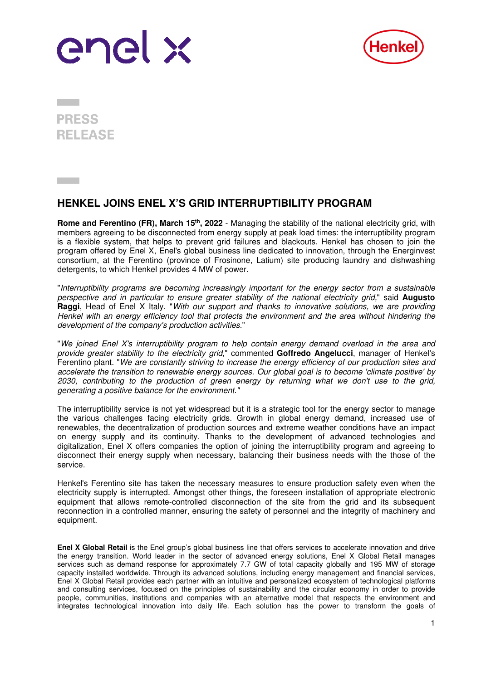



**PRESS REI FASE** 

## **HENKEL JOINS ENEL X'S GRID INTERRUPTIBILITY PROGRAM**

**Rome and Ferentino (FR), March 15<sup>th</sup>, 2022** - Managing the stability of the national electricity grid, with members agreeing to be disconnected from energy supply at peak load times: the interruptibility program is a flexible system, that helps to prevent grid failures and blackouts. Henkel has chosen to join the program offered by Enel X, Enel's global business line dedicated to innovation, through the Energinvest consortium, at the Ferentino (province of Frosinone, Latium) site producing laundry and dishwashing detergents, to which Henkel provides 4 MW of power.

"Interruptibility programs are becoming increasingly important for the energy sector from a sustainable perspective and in particular to ensure greater stability of the national electricity grid," said **Augusto Raggi**, Head of Enel X Italy. "With our support and thanks to innovative solutions, we are providing Henkel with an energy efficiency tool that protects the environment and the area without hindering the development of the company's production activities."

"We joined Enel X's interruptibility program to help contain energy demand overload in the area and provide greater stability to the electricity grid," commented **Goffredo Angelucci**, manager of Henkel's Ferentino plant. "We are constantly striving to increase the energy efficiency of our production sites and accelerate the transition to renewable energy sources. Our global goal is to become 'climate positive' by 2030, contributing to the production of green energy by returning what we don't use to the grid, generating a positive balance for the environment."

The interruptibility service is not yet widespread but it is a strategic tool for the energy sector to manage the various challenges facing electricity grids. Growth in global energy demand, increased use of renewables, the decentralization of production sources and extreme weather conditions have an impact on energy supply and its continuity. Thanks to the development of advanced technologies and digitalization, Enel X offers companies the option of joining the interruptibility program and agreeing to disconnect their energy supply when necessary, balancing their business needs with the those of the service.

Henkel's Ferentino site has taken the necessary measures to ensure production safety even when the electricity supply is interrupted. Amongst other things, the foreseen installation of appropriate electronic equipment that allows remote-controlled disconnection of the site from the grid and its subsequent reconnection in a controlled manner, ensuring the safety of personnel and the integrity of machinery and equipment.

**Enel X Global Retail** is the Enel group's global business line that offers services to accelerate innovation and drive the energy transition. World leader in the sector of advanced energy solutions, Enel X Global Retail manages services such as demand response for approximately 7.7 GW of total capacity globally and 195 MW of storage capacity installed worldwide. Through its advanced solutions, including energy management and financial services, Enel X Global Retail provides each partner with an intuitive and personalized ecosystem of technological platforms and consulting services, focused on the principles of sustainability and the circular economy in order to provide people, communities, institutions and companies with an alternative model that respects the environment and integrates technological innovation into daily life. Each solution has the power to transform the goals of